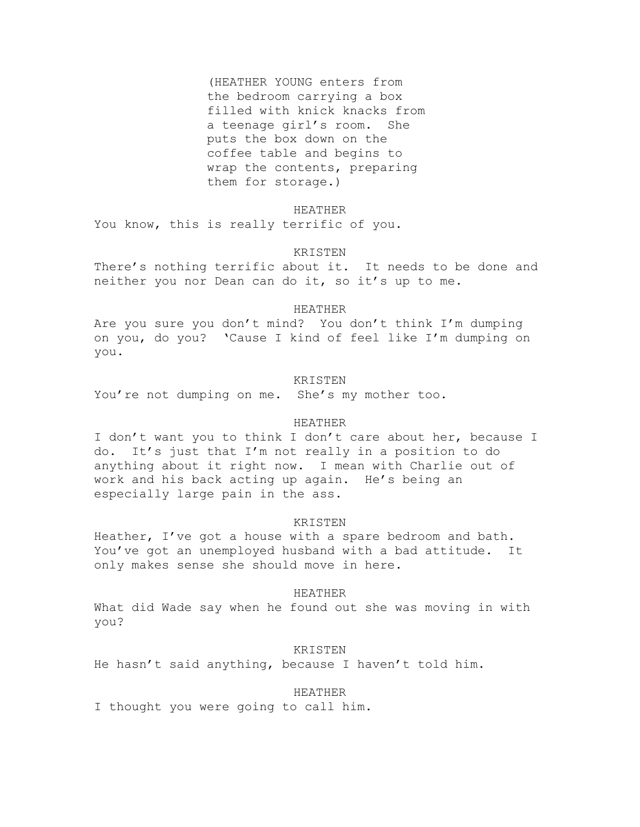(HEATHER YOUNG enters from the bedroom carrying a box filled with knick knacks from a teenage girl's room. She puts the box down on the coffee table and begins to wrap the contents, preparing them for storage.)

### HEATHER

You know, this is really terrific of you.

# KRISTEN

There's nothing terrific about it. It needs to be done and neither you nor Dean can do it, so it's up to me.

### HEATHER

Are you sure you don't mind? You don't think I'm dumping on you, do you? 'Cause I kind of feel like I'm dumping on you.

# KRISTEN

You're not dumping on me. She's my mother too.

## HEATHER

I don't want you to think I don't care about her, because I do. It's just that I'm not really in a position to do anything about it right now. I mean with Charlie out of work and his back acting up again. He's being an especially large pain in the ass.

# KRISTEN

Heather, I've got a house with a spare bedroom and bath. You've got an unemployed husband with a bad attitude. It only makes sense she should move in here.

## HEATHER

What did Wade say when he found out she was moving in with you?

# KRISTEN

He hasn't said anything, because I haven't told him.

# HEATHER

I thought you were going to call him.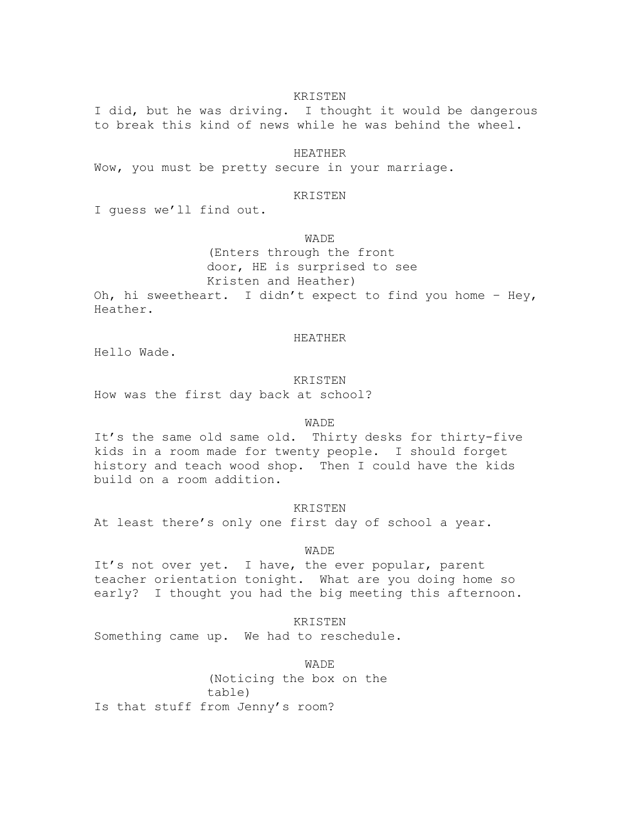I did, but he was driving. I thought it would be dangerous to break this kind of news while he was behind the wheel.

### HEATHER

Wow, you must be pretty secure in your marriage.

# KRISTEN

I guess we'll find out.

## **WADE**

(Enters through the front door, HE is surprised to see Kristen and Heather)

Oh, hi sweetheart. I didn't expect to find you home – Hey, Heather.

## HEATHER

Hello Wade.

## KRISTEN

How was the first day back at school?

### **WADE**

It's the same old same old. Thirty desks for thirty-five kids in a room made for twenty people. I should forget history and teach wood shop. Then I could have the kids build on a room addition.

## **KRISTEN**

At least there's only one first day of school a year.

### WADE

It's not over yet. I have, the ever popular, parent teacher orientation tonight. What are you doing home so early? I thought you had the big meeting this afternoon.

### KRISTEN

Something came up. We had to reschedule.

WADE

(Noticing the box on the table) Is that stuff from Jenny's room?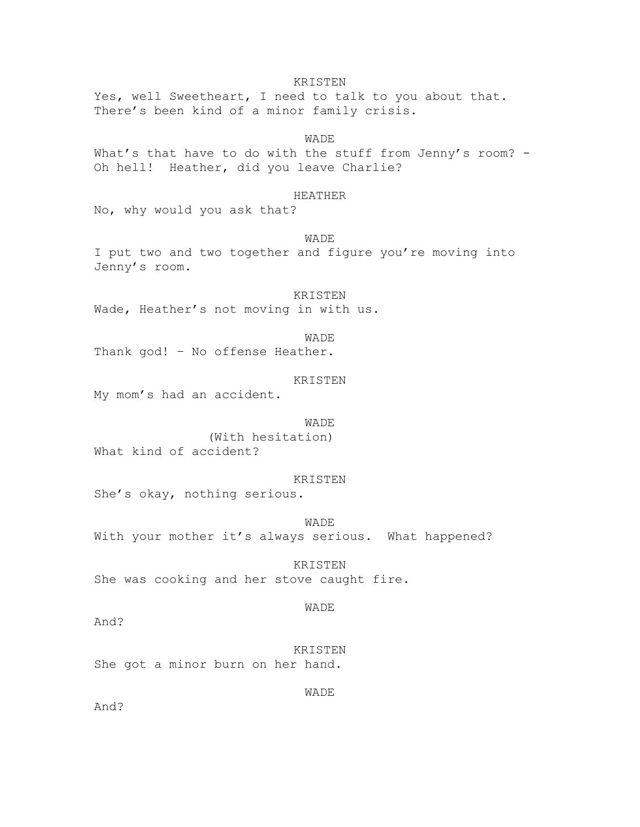KRISTEN Yes, well Sweetheart, I need to talk to you about that. There's been kind of a minor family crisis.

**WADE** What's that have to do with the stuff from Jenny's room? -Oh hell! Heather, did you leave Charlie?

## HEATHER

No, why would you ask that?

### WADE

I put two and two together and figure you're moving into Jenny's room.

KRISTEN Wade, Heather's not moving in with us.

WADE

Thank god! – No offense Heather.

## KRISTEN

My mom's had an accident.

### **WADE**

(With hesitation) What kind of accident?

#### KRISTEN

She's okay, nothing serious.

WADE

With your mother it's always serious. What happened?

KRISTEN She was cooking and her stove caught fire.

### WADE

WADE

And?

KRISTEN She got a minor burn on her hand.

And?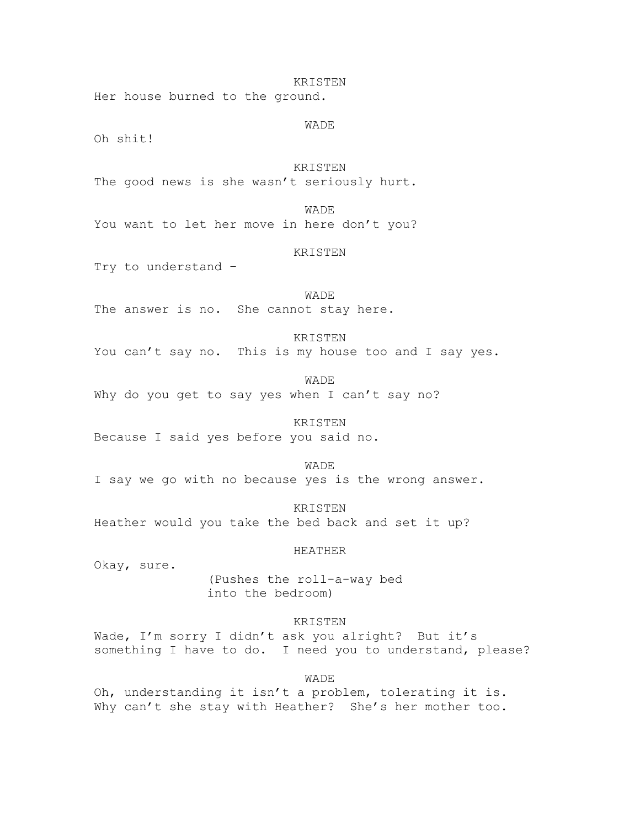Her house burned to the ground.

WADE

KRISTEN

Oh shit!

KRISTEN The good news is she wasn't seriously hurt.

**WADE** You want to let her move in here don't you?

# KRISTEN

Try to understand –

WADE The answer is no. She cannot stay here.

### KRISTEN

You can't say no. This is my house too and I say yes.

WADE

Why do you get to say yes when I can't say no?

## KRISTEN

Because I said yes before you said no.

### WADE

I say we go with no because yes is the wrong answer.

**KRISTEN** Heather would you take the bed back and set it up?

### HEATHER

Okay, sure.

(Pushes the roll-a-way bed into the bedroom)

# KRISTEN

Wade, I'm sorry I didn't ask you alright? But it's something I have to do. I need you to understand, please?

WADE

Oh, understanding it isn't a problem, tolerating it is. Why can't she stay with Heather? She's her mother too.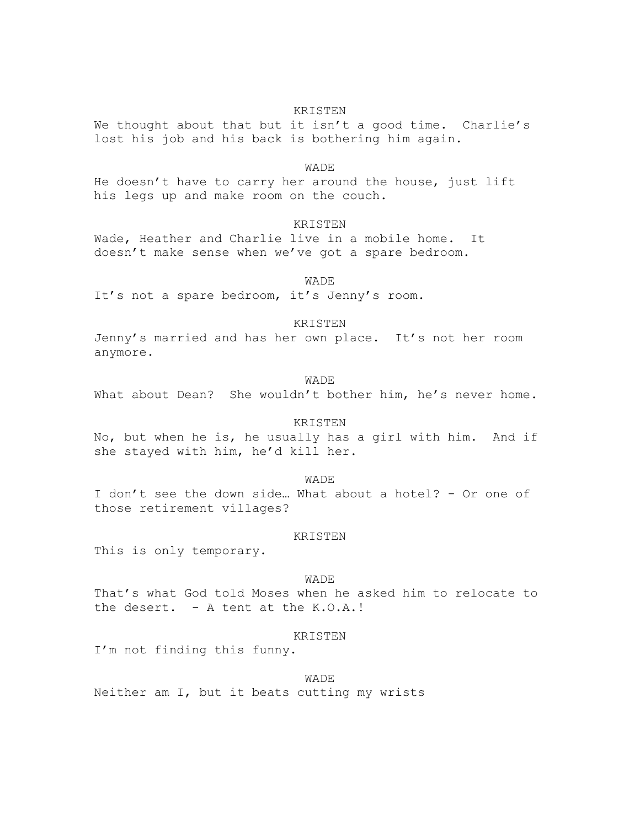We thought about that but it isn't a good time. Charlie's lost his job and his back is bothering him again.

#### WADE

He doesn't have to carry her around the house, just lift his legs up and make room on the couch.

## **KRISTEN**

Wade, Heather and Charlie live in a mobile home. It doesn't make sense when we've got a spare bedroom.

WADE

It's not a spare bedroom, it's Jenny's room.

## KRISTEN

Jenny's married and has her own place. It's not her room anymore.

WADE

What about Dean? She wouldn't bother him, he's never home.

### KRISTEN

No, but when he is, he usually has a girl with him. And if she stayed with him, he'd kill her.

WADE

I don't see the down side… What about a hotel? - Or one of those retirement villages?

### KRISTEN

This is only temporary.

#### WADE

That's what God told Moses when he asked him to relocate to the desert. - A tent at the K.O.A.!

#### KRISTEN

I'm not finding this funny.

# WADE

Neither am I, but it beats cutting my wrists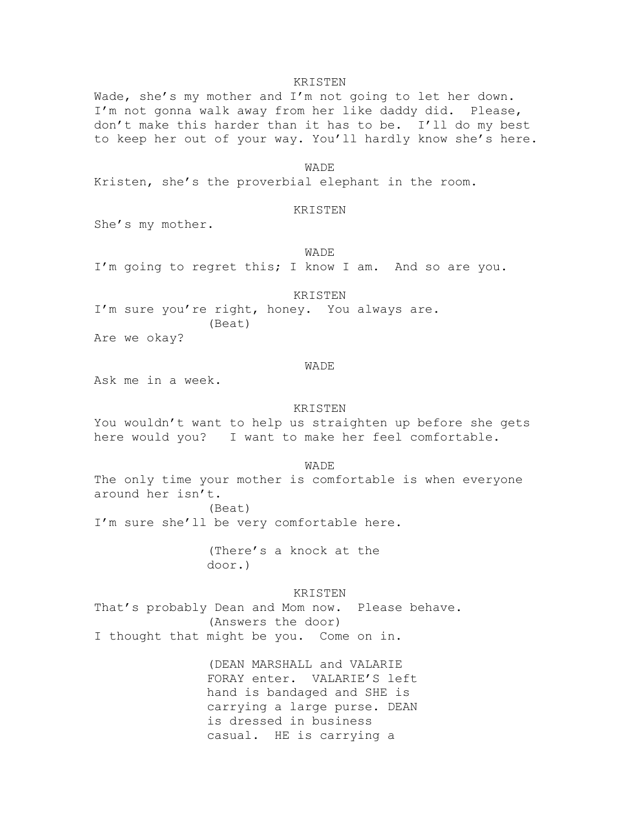Wade, she's my mother and I'm not going to let her down. I'm not gonna walk away from her like daddy did. Please, don't make this harder than it has to be. I'll do my best to keep her out of your way. You'll hardly know she's here.

WADE

Kristen, she's the proverbial elephant in the room.

### KRISTEN

She's my mother.

WADE

I'm going to regret this; I know I am. And so are you.

## KRISTEN

I'm sure you're right, honey. You always are. (Beat)

Are we okay?

### WADE

Ask me in a week.

### KRISTEN

You wouldn't want to help us straighten up before she gets here would you? I want to make her feel comfortable.

#### WADE

The only time your mother is comfortable is when everyone around her isn't. (Beat)

I'm sure she'll be very comfortable here.

(There's a knock at the door.)

KRISTEN That's probably Dean and Mom now. Please behave. (Answers the door) I thought that might be you. Come on in.

> (DEAN MARSHALL and VALARIE FORAY enter. VALARIE'S left hand is bandaged and SHE is carrying a large purse. DEAN is dressed in business casual. HE is carrying a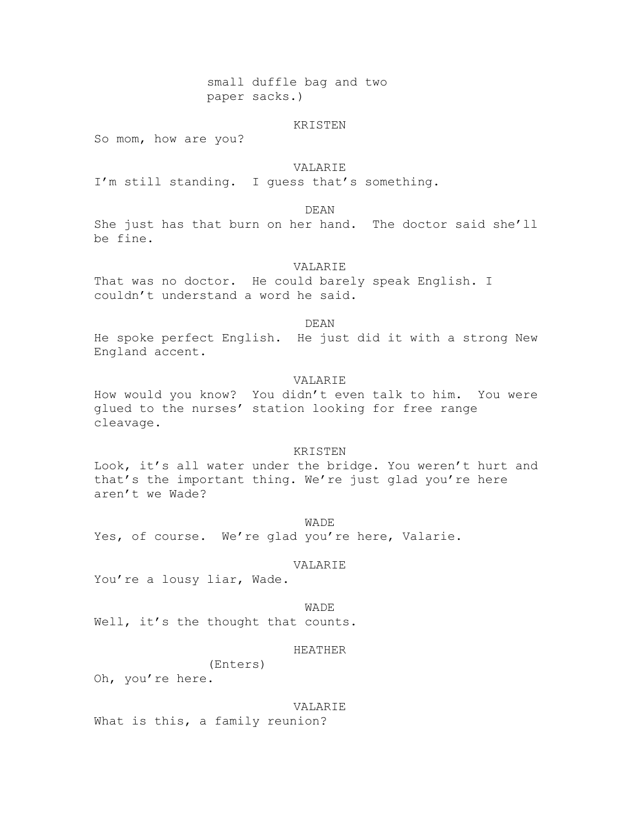small duffle bag and two paper sacks.)

#### KRISTEN

So mom, how are you?

## VALARIE

I'm still standing. I guess that's something.

DEAN

She just has that burn on her hand. The doctor said she'll be fine.

### VALARIE

That was no doctor. He could barely speak English. I couldn't understand a word he said.

DEAN

He spoke perfect English. He just did it with a strong New England accent.

# VALARIE

How would you know? You didn't even talk to him. You were glued to the nurses' station looking for free range cleavage.

## KRISTEN

Look, it's all water under the bridge. You weren't hurt and that's the important thing. We're just glad you're here aren't we Wade?

WADE Yes, of course. We're glad you're here, Valarie.

#### VALARIE

You're a lousy liar, Wade.

#### WADE

Well, it's the thought that counts.

# HEATHER

(Enters)

Oh, you're here.

### VALARIE

What is this, a family reunion?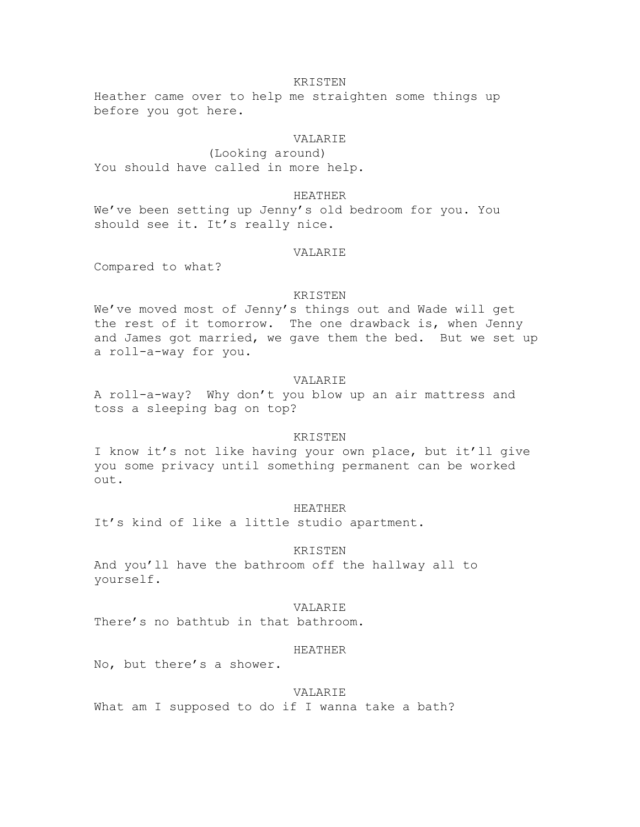Heather came over to help me straighten some things up before you got here.

# VALARIE

(Looking around) You should have called in more help.

## HEATHER

We've been setting up Jenny's old bedroom for you. You should see it. It's really nice.

# VALARIE

Compared to what?

## KRISTEN

We've moved most of Jenny's things out and Wade will get the rest of it tomorrow. The one drawback is, when Jenny and James got married, we gave them the bed. But we set up a roll-a-way for you.

# VALARIE

A roll-a-way? Why don't you blow up an air mattress and toss a sleeping bag on top?

### KRISTEN

I know it's not like having your own place, but it'll give you some privacy until something permanent can be worked out.

## HEATHER

It's kind of like a little studio apartment.

### KRISTEN

And you'll have the bathroom off the hallway all to yourself.

### VALARIE

There's no bathtub in that bathroom.

## HEATHER

No, but there's a shower.

## VALARIE

What am I supposed to do if I wanna take a bath?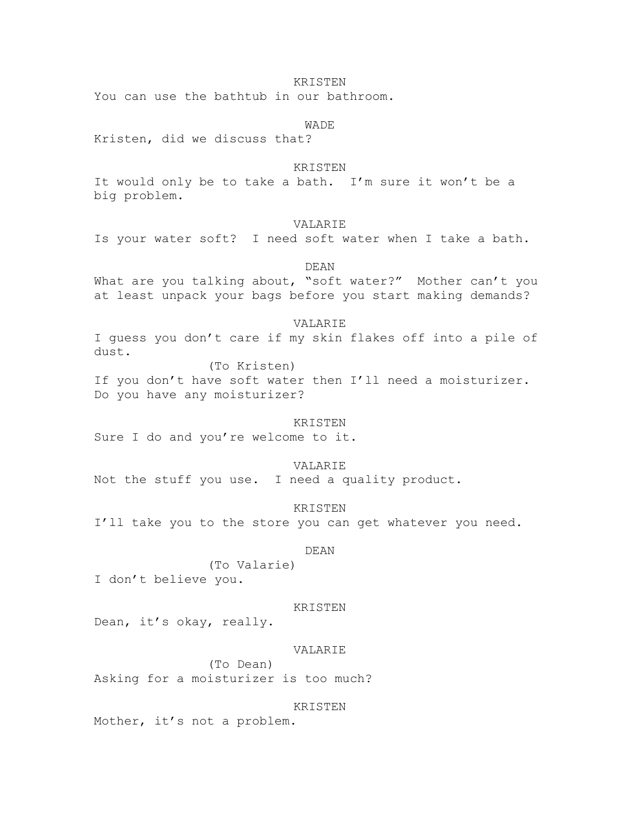You can use the bathtub in our bathroom.

**WADE** 

Kristen, did we discuss that?

## KRISTEN

It would only be to take a bath. I'm sure it won't be a big problem.

# VALARIE

Is your water soft? I need soft water when I take a bath.

DEAN

What are you talking about, "soft water?" Mother can't you at least unpack your bags before you start making demands?

### VALARIE

I guess you don't care if my skin flakes off into a pile of dust.

(To Kristen)

If you don't have soft water then I'll need a moisturizer. Do you have any moisturizer?

#### KRISTEN

Sure I do and you're welcome to it.

## VALARIE

Not the stuff you use. I need a quality product.

KRISTEN

I'll take you to the store you can get whatever you need.

## DEAN

(To Valarie) I don't believe you.

#### KRISTEN

Dean, it's okay, really.

### VALARIE

(To Dean) Asking for a moisturizer is too much?

### KRISTEN

Mother, it's not a problem.